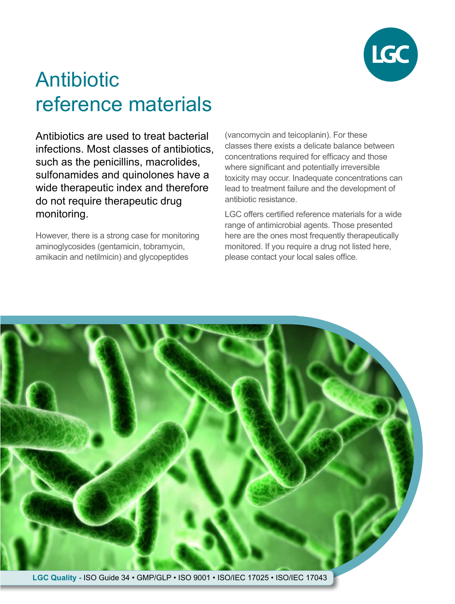

# Antibiotic reference materials

Antibiotics are used to treat bacterial infections. Most classes of antibiotics, such as the penicillins, macrolides, sulfonamides and quinolones have a wide therapeutic index and therefore do not require therapeutic drug monitoring.

However, there is a strong case for monitoring aminoglycosides (gentamicin, tobramycin, amikacin and netilmicin) and glycopeptides

(vancomycin and teicoplanin). For these classes there exists a delicate balance between concentrations required for efficacy and those where significant and potentially irreversible toxicity may occur. Inadequate concentrations can lead to treatment failure and the development of antibiotic resistance.

LGC offers certified reference materials for a wide range of antimicrobial agents. Those presented here are the ones most frequently therapeutically monitored. If you require a drug not listed here, please contact your local sales office.

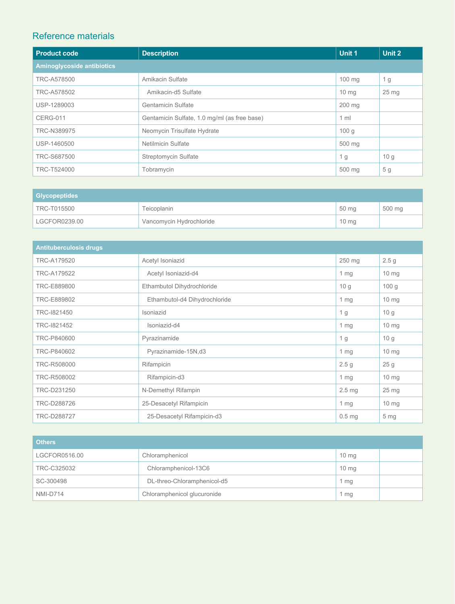### Reference materials

| <b>Product code</b>               | <b>Description</b>                           | Unit 1          | Unit 2           |
|-----------------------------------|----------------------------------------------|-----------------|------------------|
| <b>Aminoglycoside antibiotics</b> |                                              |                 |                  |
| TRC-A578500                       | Amikacin Sulfate                             | $100$ mg        | 1 g              |
| TRC-A578502                       | Amikacin-d5 Sulfate                          | $10 \text{ mg}$ | 25 <sub>mg</sub> |
| USP-1289003                       | <b>Gentamicin Sulfate</b>                    | 200 mg          |                  |
| <b>CERG-011</b>                   | Gentamicin Sulfate, 1.0 mg/ml (as free base) | 1 <sub>m</sub>  |                  |
| TRC-N389975                       | Neomycin Trisulfate Hydrate                  | 100 g           |                  |
| USP-1460500                       | Netilmicin Sulfate                           | 500 mg          |                  |
| TRC-S687500                       | Streptomycin Sulfate                         | 1 <sub>g</sub>  | 10 <sub>q</sub>  |
| TRC-T524000                       | Tobramycin                                   | 500 mg          | 5 g              |

| <b>Glycopeptides</b> |                          |                 |        |
|----------------------|--------------------------|-----------------|--------|
| TRC-T015500          | Teicoplanin              | 50 mg           | 500 mg |
| LGCFOR0239.00        | Vancomycin Hydrochloride | $10 \text{ mg}$ |        |

| <b>Antituberculosis drugs</b> |                               |                   |                  |
|-------------------------------|-------------------------------|-------------------|------------------|
| TRC-A179520                   | Acetyl Isoniazid              | 250 mg            | 2.5 <sub>g</sub> |
| TRC-A179522                   | Acetyl Isoniazid-d4           | 1 mg              | $10 \text{ mg}$  |
| TRC-E889800                   | Ethambutol Dihydrochloride    | 10 <sub>q</sub>   | 100 <sub>g</sub> |
| TRC-E889802                   | Ethambutol-d4 Dihydrochloride | 1 mg              | $10 \text{ mg}$  |
| TRC-1821450                   | Isoniazid                     | 1 g               | 10 g             |
| TRC-1821452                   | Isoniazid-d4                  | $1 \, mg$         | $10 \text{ mg}$  |
| TRC-P840600                   | Pyrazinamide                  | 1 <sub>g</sub>    | 10 <sub>q</sub>  |
| TRC-P840602                   | Pyrazinamide-15N,d3           | $1 \, mg$         | $10 \text{ mg}$  |
| TRC-R508000                   | Rifampicin                    | 2.5 <sub>q</sub>  | 25 <sub>g</sub>  |
| TRC-R508002                   | Rifampicin-d3                 | $1 \, mg$         | $10 \text{ mg}$  |
| TRC-D231250                   | N-Demethyl Rifampin           | 2.5 <sub>mg</sub> | $25 \text{ mg}$  |
| TRC-D288726                   | 25-Desacetyl Rifampicin       | 1 mg              | $10 \text{ mg}$  |
| TRC-D288727                   | 25-Desacetyl Rifampicin-d3    | $0.5$ mg          | 5 <sub>mg</sub>  |

| <b>Others</b>   |                             |                 |  |
|-----------------|-----------------------------|-----------------|--|
| LGCFOR0516.00   | Chloramphenicol             | $10 \text{ mg}$ |  |
| TRC-C325032     | Chloramphenicol-13C6        | $10 \text{ mg}$ |  |
| SC-300498       | DL-threo-Chloramphenicol-d5 | 1 mg            |  |
| <b>NMI-D714</b> | Chloramphenicol glucuronide | 1 mg            |  |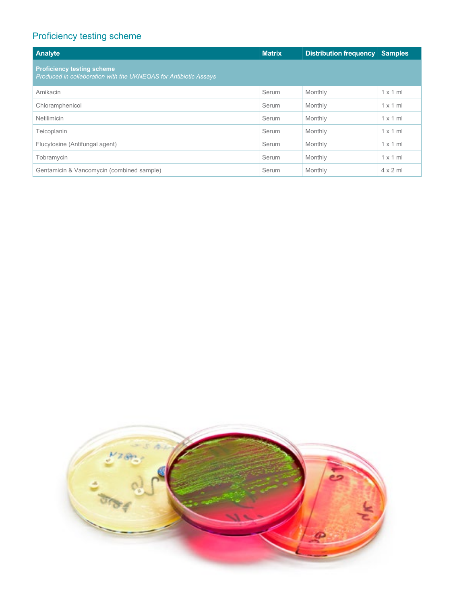## Proficiency testing scheme

| Analyte                                                                                               | <b>Matrix</b> | <b>Distribution frequency</b> | <b>Samples</b>  |  |
|-------------------------------------------------------------------------------------------------------|---------------|-------------------------------|-----------------|--|
| <b>Proficiency testing scheme</b><br>Produced in collaboration with the UKNEQAS for Antibiotic Assays |               |                               |                 |  |
| Amikacin                                                                                              | Serum         | Monthly                       | $1 \times 1$ ml |  |
| Chloramphenicol                                                                                       | Serum         | Monthly                       | $1 \times 1$ ml |  |
| <b>Netilimicin</b>                                                                                    | Serum         | Monthly                       | $1 \times 1$ ml |  |
| Teicoplanin                                                                                           | Serum         | Monthly                       | $1 \times 1$ ml |  |
| Flucytosine (Antifungal agent)                                                                        | Serum         | Monthly                       | $1 \times 1$ ml |  |
| Tobramycin                                                                                            | Serum         | Monthly                       | $1 \times 1$ ml |  |
| Gentamicin & Vancomycin (combined sample)                                                             | Serum         | Monthly                       | $4 \times 2$ m  |  |